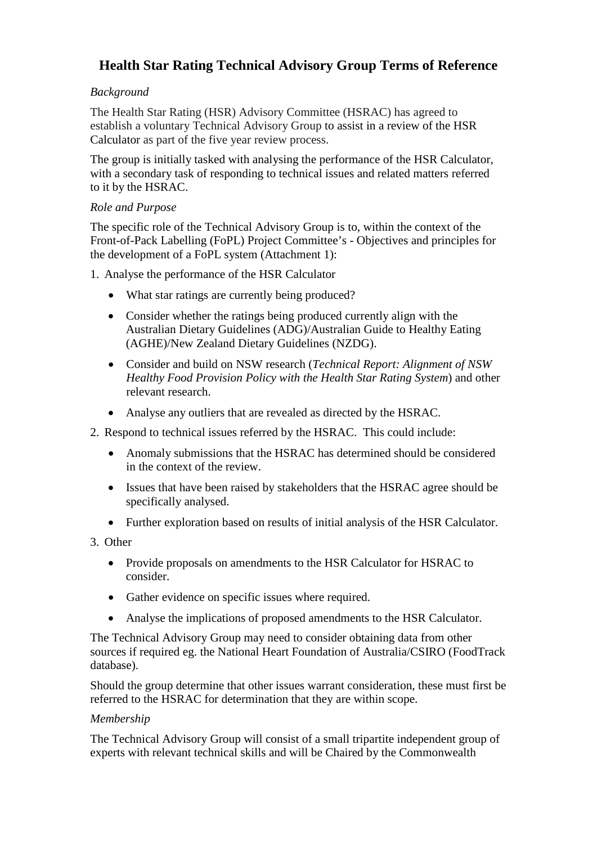# **Health Star Rating Technical Advisory Group Terms of Reference**

# *Background*

The Health Star Rating (HSR) Advisory Committee (HSRAC) has agreed to establish a voluntary Technical Advisory Group to assist in a review of the HSR Calculator as part of the five year review process.

The group is initially tasked with analysing the performance of the HSR Calculator, with a secondary task of responding to technical issues and related matters referred to it by the HSRAC.

# *Role and Purpose*

The specific role of the Technical Advisory Group is to, within the context of the Front-of-Pack Labelling (FoPL) Project Committee's - Objectives and principles for the development of a FoPL system (Attachment 1):

1. Analyse the performance of the HSR Calculator

- What star ratings are currently being produced?
- Consider whether the ratings being produced currently align with the Australian Dietary Guidelines (ADG)/Australian Guide to Healthy Eating (AGHE)/New Zealand Dietary Guidelines (NZDG).
- Consider and build on NSW research (*Technical Report: Alignment of NSW Healthy Food Provision Policy with the Health Star Rating System*) and other relevant research.
- Analyse any outliers that are revealed as directed by the HSRAC.
- 2. Respond to technical issues referred by the HSRAC. This could include:
	- Anomaly submissions that the HSRAC has determined should be considered in the context of the review.
	- Issues that have been raised by stakeholders that the HSRAC agree should be specifically analysed.
	- Further exploration based on results of initial analysis of the HSR Calculator.
- 3. Other
	- Provide proposals on amendments to the HSR Calculator for HSRAC to consider.
	- Gather evidence on specific issues where required.
	- Analyse the implications of proposed amendments to the HSR Calculator.

The Technical Advisory Group may need to consider obtaining data from other sources if required eg. the National Heart Foundation of Australia/CSIRO (FoodTrack database).

Should the group determine that other issues warrant consideration, these must first be referred to the HSRAC for determination that they are within scope.

#### *Membership*

The Technical Advisory Group will consist of a small tripartite independent group of experts with relevant technical skills and will be Chaired by the Commonwealth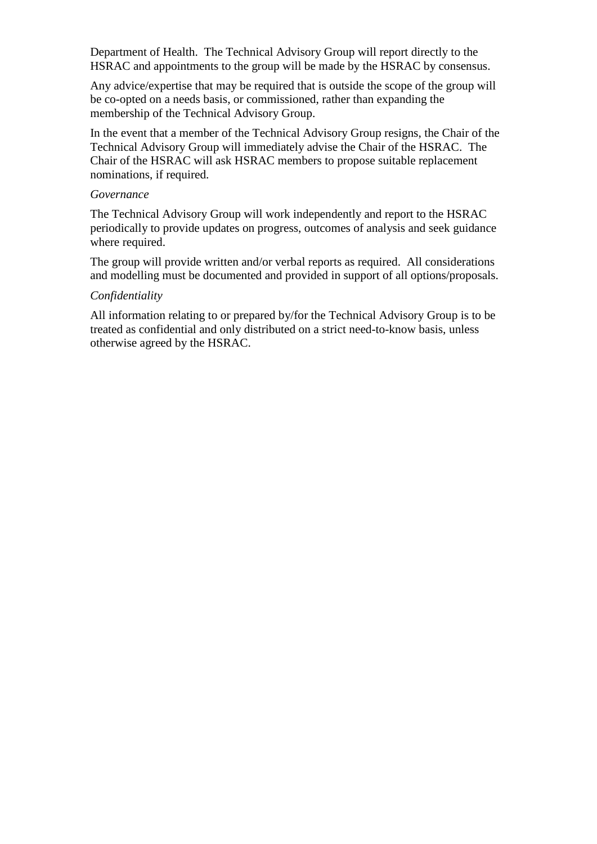Department of Health. The Technical Advisory Group will report directly to the HSRAC and appointments to the group will be made by the HSRAC by consensus.

Any advice/expertise that may be required that is outside the scope of the group will be co-opted on a needs basis, or commissioned, rather than expanding the membership of the Technical Advisory Group.

In the event that a member of the Technical Advisory Group resigns, the Chair of the Technical Advisory Group will immediately advise the Chair of the HSRAC. The Chair of the HSRAC will ask HSRAC members to propose suitable replacement nominations, if required.

## *Governance*

The Technical Advisory Group will work independently and report to the HSRAC periodically to provide updates on progress, outcomes of analysis and seek guidance where required.

The group will provide written and/or verbal reports as required. All considerations and modelling must be documented and provided in support of all options/proposals.

#### *Confidentiality*

All information relating to or prepared by/for the Technical Advisory Group is to be treated as confidential and only distributed on a strict need-to-know basis, unless otherwise agreed by the HSRAC.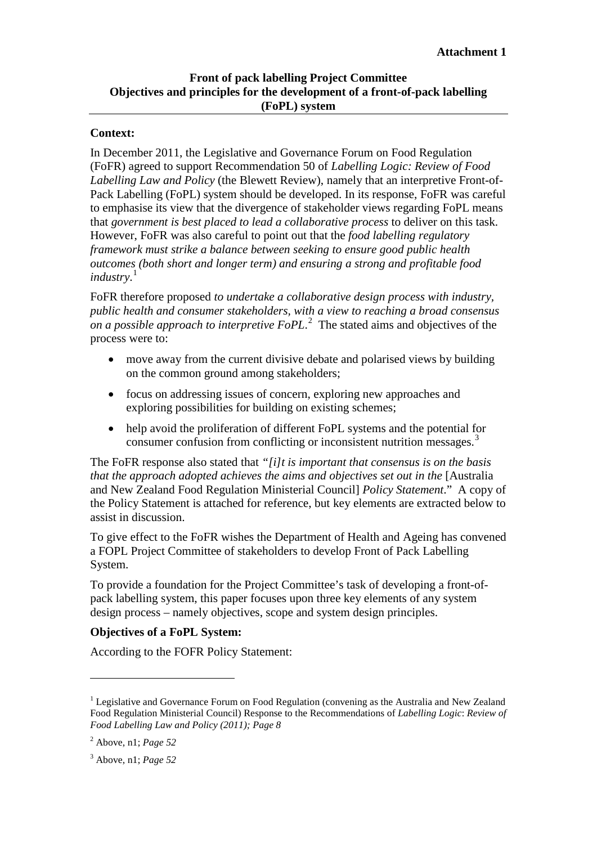# **Front of pack labelling Project Committee Objectives and principles for the development of a front-of-pack labelling (FoPL) system**

## **Context:**

In December 2011, the Legislative and Governance Forum on Food Regulation (FoFR) agreed to support Recommendation 50 of *Labelling Logic: Review of Food Labelling Law and Policy* (the Blewett Review), namely that an interpretive Front-of-Pack Labelling (FoPL) system should be developed. In its response, FoFR was careful to emphasise its view that the divergence of stakeholder views regarding FoPL means that *government is best placed to lead a collaborative process* to deliver on this task. However, FoFR was also careful to point out that the *food labelling regulatory framework must strike a balance between seeking to ensure good public health outcomes (both short and longer term) and ensuring a strong and profitable food industry*. [1](#page-2-0)

FoFR therefore proposed *to undertake a collaborative design process with industry, public health and consumer stakeholders, with a view to reaching a broad consensus on a possible approach to interpretive FoPL*. [2](#page-2-1) The stated aims and objectives of the process were to:

- move away from the current divisive debate and polarised views by building on the common ground among stakeholders;
- focus on addressing issues of concern, exploring new approaches and exploring possibilities for building on existing schemes;
- help avoid the proliferation of different FoPL systems and the potential for consumer confusion from conflicting or inconsistent nutrition messages. [3](#page-2-2)

The FoFR response also stated that *"[i]t is important that consensus is on the basis that the approach adopted achieves the aims and objectives set out in the* [Australia and New Zealand Food Regulation Ministerial Council] *Policy Statement*." A copy of the Policy Statement is attached for reference, but key elements are extracted below to assist in discussion.

To give effect to the FoFR wishes the Department of Health and Ageing has convened a FOPL Project Committee of stakeholders to develop Front of Pack Labelling System.

To provide a foundation for the Project Committee's task of developing a front-ofpack labelling system, this paper focuses upon three key elements of any system design process – namely objectives, scope and system design principles.

# **Objectives of a FoPL System:**

According to the FOFR Policy Statement:

-

<span id="page-2-0"></span><sup>&</sup>lt;sup>1</sup> Legislative and Governance Forum on Food Regulation (convening as the Australia and New Zealand Food Regulation Ministerial Council) Response to the Recommendations of *Labelling Logic*: *Review of Food Labelling Law and Policy (2011); Page 8* 

<span id="page-2-1"></span><sup>2</sup> Above, n1; *Page 52*

<span id="page-2-2"></span><sup>3</sup> Above, n1; *Page 52*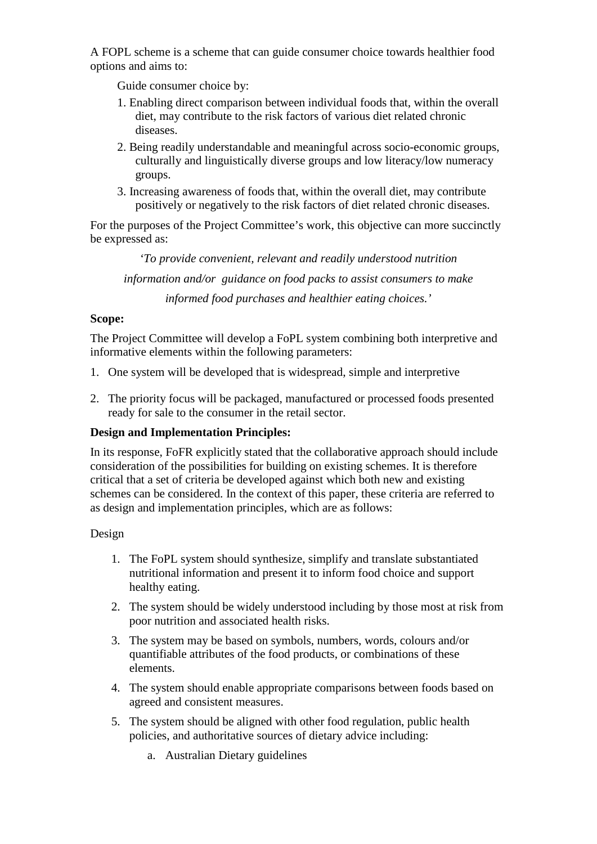A FOPL scheme is a scheme that can guide consumer choice towards healthier food options and aims to:

Guide consumer choice by:

- 1. Enabling direct comparison between individual foods that, within the overall diet, may contribute to the risk factors of various diet related chronic diseases.
- 2. Being readily understandable and meaningful across socio-economic groups, culturally and linguistically diverse groups and low literacy/low numeracy groups.
- 3. Increasing awareness of foods that, within the overall diet, may contribute positively or negatively to the risk factors of diet related chronic diseases.

For the purposes of the Project Committee's work, this objective can more succinctly be expressed as:

*'To provide convenient, relevant and readily understood nutrition information and/or guidance on food packs to assist consumers to make informed food purchases and healthier eating choices.'*

## **Scope:**

The Project Committee will develop a FoPL system combining both interpretive and informative elements within the following parameters:

- 1. One system will be developed that is widespread, simple and interpretive
- 2. The priority focus will be packaged, manufactured or processed foods presented ready for sale to the consumer in the retail sector.

# **Design and Implementation Principles:**

In its response, FoFR explicitly stated that the collaborative approach should include consideration of the possibilities for building on existing schemes. It is therefore critical that a set of criteria be developed against which both new and existing schemes can be considered. In the context of this paper, these criteria are referred to as design and implementation principles, which are as follows:

#### Design

- 1. The FoPL system should synthesize, simplify and translate substantiated nutritional information and present it to inform food choice and support healthy eating.
- 2. The system should be widely understood including by those most at risk from poor nutrition and associated health risks.
- 3. The system may be based on symbols, numbers, words, colours and/or quantifiable attributes of the food products, or combinations of these elements.
- 4. The system should enable appropriate comparisons between foods based on agreed and consistent measures.
- 5. The system should be aligned with other food regulation, public health policies, and authoritative sources of dietary advice including:
	- a. Australian Dietary guidelines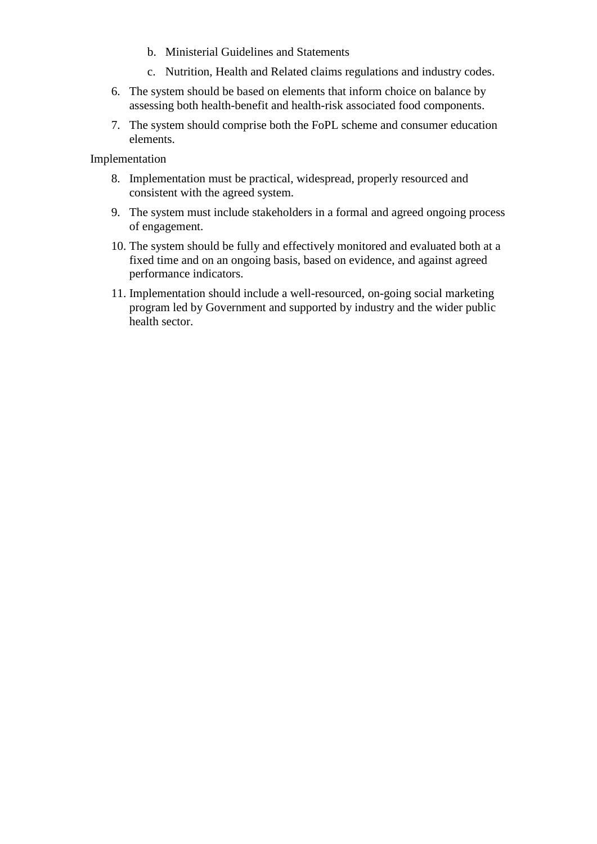- b. Ministerial Guidelines and Statements
- c. Nutrition, Health and Related claims regulations and industry codes.
- 6. The system should be based on elements that inform choice on balance by assessing both health-benefit and health-risk associated food components.
- 7. The system should comprise both the FoPL scheme and consumer education elements.

Implementation

- 8. Implementation must be practical, widespread, properly resourced and consistent with the agreed system.
- 9. The system must include stakeholders in a formal and agreed ongoing process of engagement.
- 10. The system should be fully and effectively monitored and evaluated both at a fixed time and on an ongoing basis, based on evidence, and against agreed performance indicators.
- 11. Implementation should include a well-resourced, on-going social marketing program led by Government and supported by industry and the wider public health sector.